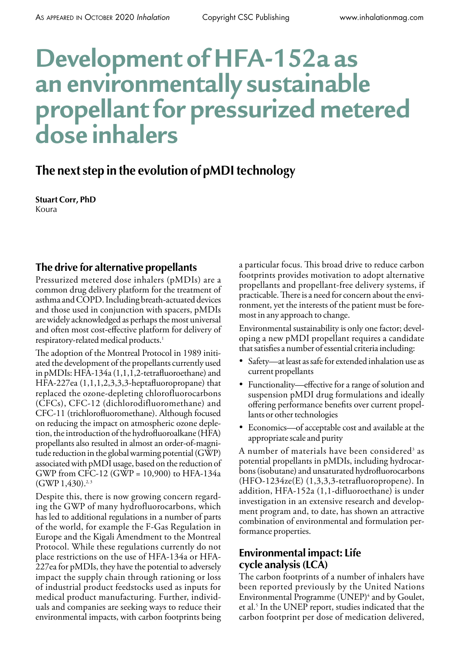# **Development of HFA-152a as an environmentally sustainable propellant for pressurized metered dose inhalers**

## **The next step in the evolution of pMDI technology**

**Stuart Corr, PhD** Koura

## **The drive for alternative propellants**

Pressurized metered dose inhalers (pMDIs) are a common drug delivery platform for the treatment of asthma and COPD. Including breath-actuated devices and those used in conjunction with spacers, pMDIs are widely acknowledged as perhaps the most universal and often most cost-effective platform for delivery of respiratory-related medical products.<sup>1</sup>

The adoption of the Montreal Protocol in 1989 initiated the development of the propellants currently used in pMDIs: HFA-134a (1,1,1,2-tetrafluoroethane) and HFA-227ea (1,1,1,2,3,3,3-heptafluoropropane) that replaced the ozone-depleting chlorofluorocarbons (CFCs), CFC-12 (dichlorodifluoromethane) and CFC-11 (trichlorofluoromethane). Although focused on reducing the impact on atmospheric ozone depletion, the introduction of the hydrofluoroalkane (HFA) propellants also resulted in almost an order-of-magnitude reduction in the global warming potential (GWP) associated with pMDI usage, based on the reduction of GWP from CFC-12 (GWP = 10,900) to HFA-134a  $(GWP 1, 430).$ <sup>2,3</sup>

Despite this, there is now growing concern regarding the GWP of many hydrofluorocarbons, which has led to additional regulations in a number of parts of the world, for example the F-Gas Regulation in Europe and the Kigali Amendment to the Montreal Protocol. While these regulations currently do not place restrictions on the use of HFA-134a or HFA-227ea for pMDIs, they have the potential to adversely impact the supply chain through rationing or loss of industrial product feedstocks used as inputs for medical product manufacturing. Further, individuals and companies are seeking ways to reduce their environmental impacts, with carbon footprints being a particular focus. This broad drive to reduce carbon footprints provides motivation to adopt alternative propellants and propellant-free delivery systems, if practicable. There is a need for concern about the environment, yet the interests of the patient must be foremost in any approach to change.

Environmental sustainability is only one factor; developing a new pMDI propellant requires a candidate that satisfies a number of essential criteria including:

- Safety-at least as safe for extended inhalation use as current propellants
- Functionality—effective for a range of solution and suspension pMDI drug formulations and ideally offering performance benefits over current propellants or other technologies
- • Economics—of acceptable cost and available at the appropriate scale and purity

A number of materials have been considered<sup>3</sup> as potential propellants in pMDIs, including hydrocarbons (isobutane) and unsaturated hydrofluorocarbons (HFO-1234ze(E) (1,3,3,3-tetrafluoropropene). In addition, HFA-152a (1,1-difluoroethane) is under investigation in an extensive research and development program and, to date, has shown an attractive combination of environmental and formulation performance properties.

## **Environmental impact: Life cycle analysis (LCA)**

The carbon footprints of a number of inhalers have been reported previously by the United Nations Environmental Programme (UNEP)<sup>4</sup> and by Goulet, et al.5 In the UNEP report, studies indicated that the carbon footprint per dose of medication delivered,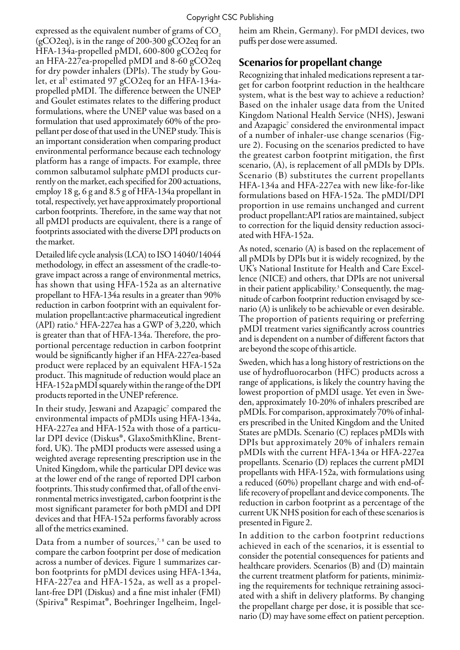expressed as the equivalent number of grams of CO<sub>2</sub> (gCO2eq), is in the range of 200-300 gCO2eq for an HFA-134a-propelled pMDI, 600-800 gCO2eq for an HFA-227ea-propelled pMDI and 8-60 gCO2eq for dry powder inhalers (DPIs). The study by Goulet, et al<sup>5</sup> estimated 97 gCO2eq for an HFA-134apropelled pMDI. The difference between the UNEP and Goulet estimates relates to the differing product formulations, where the UNEP value was based on a formulation that used approximately 60% of the propellant per dose of that used in the UNEP study. This is an important consideration when comparing product environmental performance because each technology platform has a range of impacts. For example, three common salbutamol sulphate pMDI products currently on the market, each specified for 200 actuations, employ 18 g, 6 g and 8.5 g of HFA-134a propellant in total, respectively, yet have approximately proportional carbon footprints. Therefore, in the same way that not all pMDI products are equivalent, there is a range of footprints associated with the diverse DPI products on the market.

Detailed life cycle analysis (LCA) to ISO 14040/14044 methodology, in effect an assessment of the cradle-tograve impact across a range of environmental metrics, has shown that using HFA-152a as an alternative propellant to HFA-134a results in a greater than 90% reduction in carbon footprint with an equivalent formulation propellant:active pharmaceutical ingredient (API) ratio.<sup>6</sup> HFA-227ea has a GWP of 3,220, which is greater than that of HFA-134a. Therefore, the proportional percentage reduction in carbon footprint would be significantly higher if an HFA-227ea-based product were replaced by an equivalent HFA-152a product. This magnitude of reduction would place an HFA-152a pMDI squarely within the range of the DPI products reported in the UNEP reference.

In their study, Jeswani and Azapagic $^{\prime}$  compared the environmental impacts of pMDIs using HFA-134a, HFA-227ea and HFA-152a with those of a particular DPI device (Diskus®, GlaxoSmithKline, Brentford, UK). The pMDI products were assessed using a weighted average representing prescription use in the United Kingdom, while the particular DPI device was at the lower end of the range of reported DPI carbon footprints. This study confirmed that, of all of the environmental metrics investigated, carbon footprint is the most significant parameter for both pMDI and DPI devices and that HFA-152a performs favorably across all of the metrics examined.

Data from a number of sources,<sup> $7, 8$ </sup> can be used to compare the carbon footprint per dose of medication across a number of devices. Figure 1 summarizes carbon footprints for pMDI devices using HFA-134a, HFA-227ea and HFA-152a, as well as a propellant-free DPI (Diskus) and a fine mist inhaler (FMI) (Spiriva® Respimat®, Boehringer Ingelheim, Ingelheim am Rhein, Germany). For pMDI devices, two puffs per dose were assumed.

## **Scenarios for propellant change**

Recognizing that inhaled medications represent a target for carbon footprint reduction in the healthcare system, what is the best way to achieve a reduction? Based on the inhaler usage data from the United Kingdom National Health Service (NHS), Jeswani and Azapagic $^7$  considered the environmental impact of a number of inhaler-use change scenarios (Figure 2). Focusing on the scenarios predicted to have the greatest carbon footprint mitigation, the first scenario, (A), is replacement of all pMDIs by DPIs. Scenario (B) substitutes the current propellants HFA-134a and HFA-227ea with new like-for-like formulations based on HFA-152a. The pMDI/DPI proportion in use remains unchanged and current product propellant:API ratios are maintained, subject to correction for the liquid density reduction associated with HFA-152a.

As noted, scenario (A) is based on the replacement of all pMDIs by DPIs but it is widely recognized, by the UK's National Institute for Health and Care Excellence (NICE) and others, that DPIs are not universal in their patient applicability.<sup>3</sup> Consequently, the magnitude of carbon footprint reduction envisaged by scenario (A) is unlikely to be achievable or even desirable. The proportion of patients requiring or preferring pMDI treatment varies significantly across countries and is dependent on a number of different factors that are beyond the scope of this article.

Sweden, which has a long history of restrictions on the use of hydrofluorocarbon (HFC) products across a range of applications, is likely the country having the lowest proportion of pMDI usage. Yet even in Sweden, approximately 10-20% of inhalers prescribed are pMDIs. For comparison, approximately 70% of inhalers prescribed in the United Kingdom and the United States are pMDIs. Scenario (C) replaces pMDIs with DPIs but approximately 20% of inhalers remain pMDIs with the current HFA-134a or HFA-227ea propellants. Scenario (D) replaces the current pMDI propellants with HFA-152a, with formulations using a reduced (60%) propellant charge and with end-oflife recovery of propellant and device components. The reduction in carbon footprint as a percentage of the current UK NHS position for each of these scenarios is presented in Figure 2.

In addition to the carbon footprint reductions achieved in each of the scenarios, it is essential to consider the potential consequences for patients and healthcare providers. Scenarios (B) and (D) maintain the current treatment platform for patients, minimizing the requirements for technique retraining associated with a shift in delivery platforms. By changing the propellant charge per dose, it is possible that scenario (D) may have some effect on patient perception.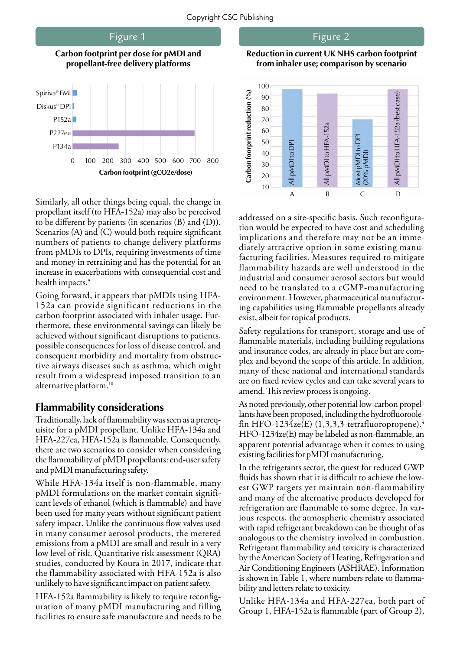

Similarly, all other things being equal, the change in propellant itself (to HFA-152a) may also be perceived to be different by patients (in scenarios (B) and (D)). Scenarios (A) and  $(C)$  would both require significant numbers of patients to change delivery platforms from pMDIs to DPIs, requiring investments of time and money in retraining and has the potential for an increase in exacerbations with consequential cost and health impacts.<sup>9</sup>

Going forward, it appears that pMDIs using HFA-152a can provide significant reductions in the carbon footprint associated with inhaler usage. Furthermore, these environmental savings can likely be achieved without significant disruptions to patients, possible consequences for loss of disease control, and consequent morbidity and mortality from obstructive airways diseases such as asthma, which might result from a widespread imposed transition to an alternative platform.<sup>10</sup>

#### **Flammability considerations**

Traditionally, lack of flammability was seen as a prerequisite for a pMDI propellant. Unlike HFA-134a and HFA-227ea, HFA-152a is flammable. Consequently, there are two scenarios to consider when considering the flammability of pMDI propellants: end-user safety and pMDI manufacturing safety.

While HFA-134a itself is non-flammable, many pMDI formulations on the market contain significant levels of ethanol (which is flammable) and have been used for many years without significant patient safety impact. Unlike the continuous flow valves used in many consumer aerosol products, the metered emissions from a pMDI are small and result in a very low level of risk. Quantitative risk assessment (QRA) studies, conducted by Koura in 2017, indicate that the flammability associated with HFA-152a is also unlikely to have significant impact on patient safety.

HFA-152a flammability is likely to require reconfiguration of many pMDI manufacturing and filling facilities to ensure safe manufacture and needs to be

Figure 2

**Reduction in current UK NHS carbon footprint from inhaler use; comparison by scenario**



addressed on a site-specific basis. Such reconfiguration would be expected to have cost and scheduling implications and therefore may not be an immediately attractive option in some existing manufacturing facilities. Measures required to mitigate flammability hazards are well understood in the industrial and consumer aerosol sectors but would need to be translated to a cGMP-manufacturing environment. However, pharmaceutical manufacturing capabilities using flammable propellants already exist, albeit for topical products.

Safety regulations for transport, storage and use of flammable materials, including building regulations and insurance codes, are already in place but are complex and beyond the scope of this article. In addition, many of these national and international standards are on fixed review cycles and can take several years to amend. This review process is ongoing.

As noted previously, other potential low-carbon propellants have been proposed, including the hydrofluoroolefin HFO-1234ze(E)  $(1,3,3,3)$ -tetrafluoropropene).<sup>4</sup> HFO-1234ze(E) may be labeled as non-flammable, an apparent potential advantage when it comes to using existing facilities for pMDI manufacturing.

In the refrigerants sector, the quest for reduced GWP fluids has shown that it is difficult to achieve the lowest GWP targets yet maintain non-flammability and many of the alternative products developed for refrigeration are flammable to some degree. In various respects, the atmospheric chemistry associated with rapid refrigerant breakdown can be thought of as analogous to the chemistry involved in combustion. Refrigerant flammability and toxicity is characterized by the American Society of Heating, Refrigeration and Air Conditioning Engineers (ASHRAE). Information is shown in Table 1, where numbers relate to flammability and letters relate to toxicity.

Unlike HFA-134a and HFA-227ea, both part of Group 1, HFA-152a is flammable (part of Group 2),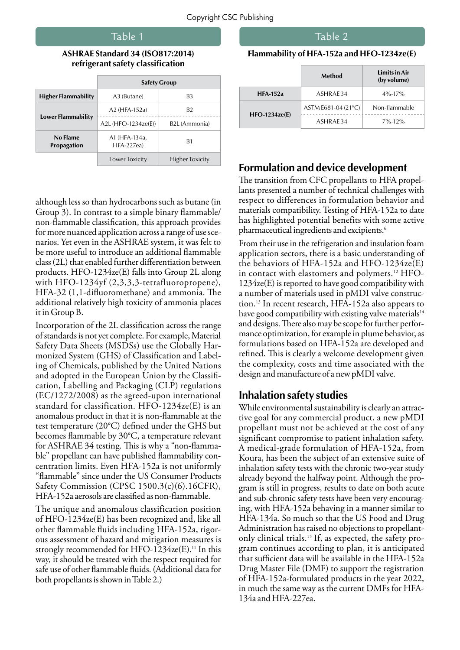#### Table 1

#### **ASHRAE Standard 34 (ISO817:2014) refrigerant safety classification**

|                            | <b>Safety Group</b>          |                            |
|----------------------------|------------------------------|----------------------------|
| <b>Higher Flammability</b> | A3 (Butane)                  | B3                         |
| Lower Flammability         | A2 (HFA-152a)                | B <sub>2</sub>             |
|                            | A2L (HFO-1234ze(E))          | B <sub>2</sub> L (Ammonia) |
| No Flame<br>Propagation    | A1 (HFA-134a,<br>$HFA-227ea$ | B <sub>1</sub>             |
|                            | Lower Toxicity               | <b>Higher Toxicity</b>     |

although less so than hydrocarbons such as butane (in Group 3). In contrast to a simple binary flammable/ non-flammable classification, this approach provides for more nuanced application across a range of use scenarios. Yet even in the ASHRAE system, it was felt to be more useful to introduce an additional flammable class (2L) that enabled further differentiation between products. HFO-1234ze(E) falls into Group 2L along with HFO-1234yf (2,3,3,3-tetrafluoropropene), HFA-32 (1,1-difluoromethane) and ammonia. The additional relatively high toxicity of ammonia places it in Group B.

Incorporation of the 2L classification across the range of standards is not yet complete. For example, Material Safety Data Sheets (MSDSs) use the Globally Harmonized System (GHS) of Classification and Labeling of Chemicals, published by the United Nations and adopted in the European Union by the Classification, Labelling and Packaging (CLP) regulations (EC/1272/2008) as the agreed-upon international standard for classification. HFO-1234ze(E) is an anomalous product in that it is non-flammable at the test temperature (20°C) defined under the GHS but becomes flammable by 30°C, a temperature relevant for ASHRAE 34 testing. This is why a "non-flammable" propellant can have published flammability concentration limits. Even HFA-152a is not uniformly "flammable" since under the US Consumer Products Safety Commission (CPSC 1500.3(c)(6).16CFR), HFA-152a aerosols are classified as non-flammable.

The unique and anomalous classification position of HFO-1234ze(E) has been recognized and, like all other flammable fluids including HFA-152a, rigorous assessment of hazard and mitigation measures is strongly recommended for HFO-1234 $ze(E)$ .<sup>11</sup> In this way, it should be treated with the respect required for safe use of other flammable fluids. (Additional data for both propellants is shown in Table 2.)

#### Table 2

#### **Flammability of HFA-152a and HFO-1234ze(E)**

|                 | Method              | <b>Limits in Air</b><br>(by volume) |
|-----------------|---------------------|-------------------------------------|
| <b>HFA-152a</b> | ASHRAF34            | $4\% - 17\%$                        |
| $HFO-1234ze(E)$ | ASTM E681-04 (21°C) | Non-flammable                       |
|                 | ASHRAF34            | $7\% - 12\%$                        |

### **Formulation and device development**

The transition from CFC propellants to HFA propellants presented a number of technical challenges with respect to differences in formulation behavior and materials compatibility. Testing of HFA-152a to date has highlighted potential benefits with some active pharmaceutical ingredients and excipients.<sup>6</sup>

From their use in the refrigeration and insulation foam application sectors, there is a basic understanding of the behaviors of HFA-152a and HFO-1234ze(E) in contact with elastomers and polymers.<sup>12</sup> HFO-1234ze(E) is reported to have good compatibility with a number of materials used in pMDI valve construction.13 In recent research, HFA-152a also appears to have good compatibility with existing valve materials<sup>14</sup> and designs. There also may be scope for further performance optimization, for example in plume behavior, as formulations based on HFA-152a are developed and refined. This is clearly a welcome development given the complexity, costs and time associated with the design and manufacture of a new pMDI valve.

#### **Inhalation safety studies**

While environmental sustainability is clearly an attractive goal for any commercial product, a new pMDI propellant must not be achieved at the cost of any significant compromise to patient inhalation safety. A medical-grade formulation of HFA-152a, from Koura, has been the subject of an extensive suite of inhalation safety tests with the chronic two-year study already beyond the halfway point. Although the program is still in progress, results to date on both acute and sub-chronic safety tests have been very encouraging, with HFA-152a behaving in a manner similar to HFA-134a. So much so that the US Food and Drug Administration has raised no objections to propellantonly clinical trials.15 If, as expected, the safety program continues according to plan, it is anticipated that sufficient data will be available in the HFA-152a Drug Master File (DMF) to support the registration of HFA-152a-formulated products in the year 2022, in much the same way as the current DMFs for HFA-134a and HFA-227ea.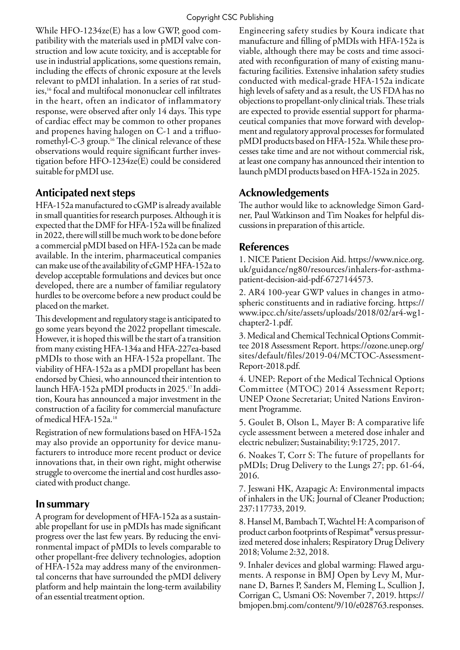While HFO-1234ze(E) has a low GWP, good compatibility with the materials used in pMDI valve construction and low acute toxicity, and is acceptable for use in industrial applications, some questions remain, including the effects of chronic exposure at the levels relevant to pMDI inhalation. In a series of rat studies,16 focal and multifocal mononuclear cell infiltrates in the heart, often an indicator of inflammatory response, were observed after only 14 days. This type of cardiac effect may be common to other propanes and propenes having halogen on C-1 and a trifluoromethyl-C-3 group.<sup>16</sup> The clinical relevance of these observations would require significant further investigation before HFO-1234ze(E) could be considered suitable for pMDI use.

## **Anticipated next steps**

HFA-152a manufactured to cGMP is already available in small quantities for research purposes. Although it is expected that the DMF for HFA-152a will be finalized in 2022, there will still be much work to be done before a commercial pMDI based on HFA-152a can be made available. In the interim, pharmaceutical companies can make use of the availability of cGMP HFA-152a to develop acceptable formulations and devices but once developed, there are a number of familiar regulatory hurdles to be overcome before a new product could be placed on the market.

This development and regulatory stage is anticipated to go some years beyond the 2022 propellant timescale. However, it is hoped this will be the start of a transition from many existing HFA-134a and HFA-227ea-based pMDIs to those with an HFA-152a propellant. The viability of HFA-152a as a pMDI propellant has been endorsed by Chiesi, who announced their intention to launch HFA-152a pMDI products in 2025.<sup>17</sup> In addition, Koura has announced a major investment in the construction of a facility for commercial manufacture of medical HFA-152a.18

Registration of new formulations based on HFA-152a may also provide an opportunity for device manufacturers to introduce more recent product or device innovations that, in their own right, might otherwise struggle to overcome the inertial and cost hurdles associated with product change.

## **In summary**

A program for development of HFA-152a as a sustainable propellant for use in pMDIs has made significant progress over the last few years. By reducing the environmental impact of pMDIs to levels comparable to other propellant-free delivery technologies, adoption of HFA-152a may address many of the environmental concerns that have surrounded the pMDI delivery platform and help maintain the long-term availability of an essential treatment option.

Engineering safety studies by Koura indicate that manufacture and filling of pMDIs with HFA-152a is viable, although there may be costs and time associated with reconfiguration of many of existing manufacturing facilities. Extensive inhalation safety studies conducted with medical-grade HFA-152a indicate high levels of safety and as a result, the US FDA has no objections to propellant-only clinical trials. These trials are expected to provide essential support for pharmaceutical companies that move forward with development and regulatory approval processes for formulated pMDI products based on HFA-152a. While these processes take time and are not without commercial risk, at least one company has announced their intention to launch pMDI products based on HFA-152a in 2025.

## **Acknowledgements**

The author would like to acknowledge Simon Gardner, Paul Watkinson and Tim Noakes for helpful discussions in preparation of this article.

## **References**

1. NICE Patient Decision Aid. https://www.nice.org. uk/guidance/ng80/resources/inhalers-for-asthmapatient-decision-aid-pdf-6727144573.

2. AR4 100-year GWP values in changes in atmospheric constituents and in radiative forcing. https:// www.ipcc.ch/site/assets/uploads/2018/02/ar4-wg1 chapter2-1.pdf.

3. Medical and Chemical Technical Options Committee 2018 Assessment Report. https://ozone.unep.org/ sites/default/files/2019-04/MCTOC-Assessment-Report-2018.pdf.

4. UNEP: Report of the Medical Technical Options Committee (MTOC) 2014 Assessment Report; UNEP Ozone Secretariat; United Nations Environment Programme.

5. Goulet B, Olson L, Mayer B: A comparative life cycle assessment between a metered dose inhaler and electric nebulizer; Sustainability; 9:1725, 2017.

6. Noakes T, Corr S: The future of propellants for pMDIs; Drug Delivery to the Lungs 27; pp. 61-64, 2016.

7. Jeswani HK, Azapagic A: Environmental impacts of inhalers in the UK; Journal of Cleaner Production; 237:117733, 2019.

8. Hansel M, Bambach T, Wachtel H: A comparison of product carbon footprints of Respimat® versus pressurized metered dose inhalers; Respiratory Drug Delivery 2018; Volume 2:32, 2018.

9. Inhaler devices and global warming: Flawed arguments. A response in BMJ Open by Levy M, Murnane D, Barnes P, Sanders M, Fleming L, Scullion J, Corrigan C, Usmani OS: November 7, 2019. https:// bmjopen.bmj.com/content/9/10/e028763.responses.